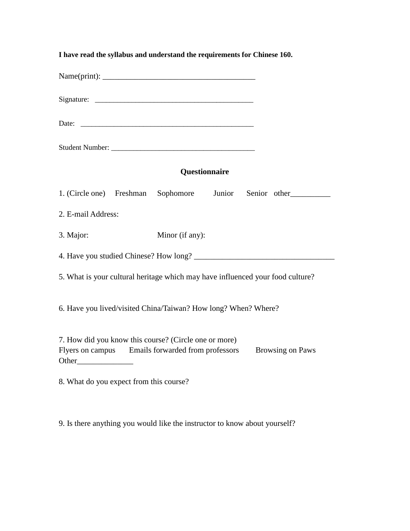| I have read the syllabus and understand the requirements for Chinese 160.                                                             |                 |  |                     |  |
|---------------------------------------------------------------------------------------------------------------------------------------|-----------------|--|---------------------|--|
|                                                                                                                                       |                 |  |                     |  |
|                                                                                                                                       |                 |  |                     |  |
|                                                                                                                                       |                 |  |                     |  |
|                                                                                                                                       |                 |  |                     |  |
|                                                                                                                                       | Questionnaire   |  |                     |  |
| 1. (Circle one) Freshman Sophomore                                                                                                    |                 |  | Junior Senior other |  |
| 2. E-mail Address:                                                                                                                    |                 |  |                     |  |
| 3. Major:                                                                                                                             | Minor (if any): |  |                     |  |
|                                                                                                                                       |                 |  |                     |  |
| 5. What is your cultural heritage which may have influenced your food culture?                                                        |                 |  |                     |  |
| 6. Have you lived/visited China/Taiwan? How long? When? Where?                                                                        |                 |  |                     |  |
| 7. How did you know this course? (Circle one or more)<br>Flyers on campus Emails forwarded from professors<br><b>Browsing on Paws</b> |                 |  |                     |  |
| 8. What do you expect from this course?                                                                                               |                 |  |                     |  |

9. Is there anything you would like the instructor to know about yourself?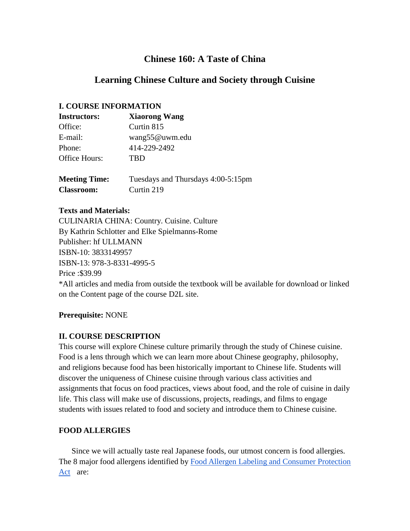# **Chinese 160: A Taste of China**

# **Learning Chinese Culture and Society through Cuisine**

### **I. COURSE INFORMATION**

| <b>Instructors:</b>  | <b>Xiaorong Wang</b>               |
|----------------------|------------------------------------|
| Office:              | Curtin 815                         |
| E-mail:              | wang55@uwm.edu                     |
| Phone:               | 414-229-2492                       |
| Office Hours:        | TBD                                |
| <b>Meeting Time:</b> | Tuesdays and Thursdays 4:00-5:15pm |
| <b>Classroom:</b>    | Curtin 219                         |

#### **Texts and Materials:**

CULINARIA CHINA: Country. Cuisine. Culture By Kathrin Schlotter and Elke Spielmanns-Rome Publisher: hf ULLMANN ISBN-10: 3833149957 ISBN-13: 978-3-8331-4995-5 Price :\$39.99 \*All articles and media from outside the textbook will be available for download or linked on the Content page of the course D2L site.

### **Prerequisite:** NONE

### **II. COURSE DESCRIPTION**

This course will explore Chinese culture primarily through the study of Chinese cuisine. Food is a lens through which we can learn more about Chinese geography, philosophy, and religions because food has been historically important to Chinese life. Students will discover the uniqueness of Chinese cuisine through various class activities and assignments that focus on food practices, views about food, and the role of cuisine in daily life. This class will make use of discussions, projects, readings, and films to engage students with issues related to food and society and introduce them to Chinese cuisine.

### **FOOD ALLERGIES**

 Since we will actually taste real Japanese foods, our utmost concern is food allergies. The 8 major food allergens identified by Food Allergen Labeling and Consumer Protection Act are: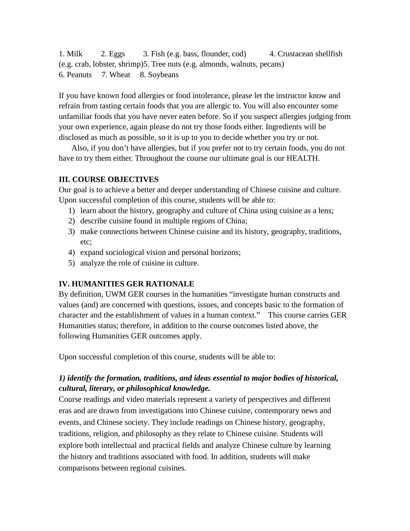1. Milk 2. Eggs 3. Fish (e.g. bass, flounder, cod) 4. Crustacean shellfish (e.g. crab, lobster, shrimp)5. Tree nuts (e.g. almonds, walnuts, pecans) 6. Peanuts 7. Wheat 8. Soybeans

If you have known food allergies or food intolerance, please let the instructor know and refrain from tasting certain foods that you are allergic to. You will also encounter some unfamiliar foods that you have never eaten before. So if you suspect allergies judging from your own experience, again please do not try those foods either. Ingredients will be disclosed as much as possible, so it is up to you to decide whether you try or not.

 Also, if you don't have allergies, but if you prefer not to try certain foods, you do not have to try them either. Throughout the course our ultimate goal is our HEALTH.

## **III. COURSE OBJECTIVES**

Our goal is to achieve a better and deeper understanding of Chinese cuisine and culture. Upon successful completion of this course, students will be able to:

- 1) learn about the history, geography and culture of China using cuisine as a lens;
- 2) describe cuisine found in multiple regions of China;
- 3) make connections between Chinese cuisine and its history, geography, traditions, etc;
- 4) expand sociological vision and personal horizons;
- 5) analyze the role of cuisine in culture.

# **IV. HUMANITIES GER RATIONALE**

By definition, UWM GER courses in the humanities "investigate human constructs and values (and) are concerned with questions, issues, and concepts basic to the formation of character and the establishment of values in a human context." This course carries GER Humanities status; therefore, in addition to the course outcomes listed above, the following Humanities GER outcomes apply.

Upon successful completion of this course, students will be able to:

# *1) identify the formation, traditions, and ideas essential to major bodies of historical, cultural, literary, or philosophical knowledge.*

Course readings and video materials represent a variety of perspectives and different eras and are drawn from investigations into Chinese cuisine, contemporary news and events, and Chinese society. They include readings on Chinese history, geography, traditions, religion, and philosophy as they relate to Chinese cuisine. Students will explore both intellectual and practical fields and analyze Chinese culture by learning the history and traditions associated with food. In addition, students will make comparisons between regional cuisines.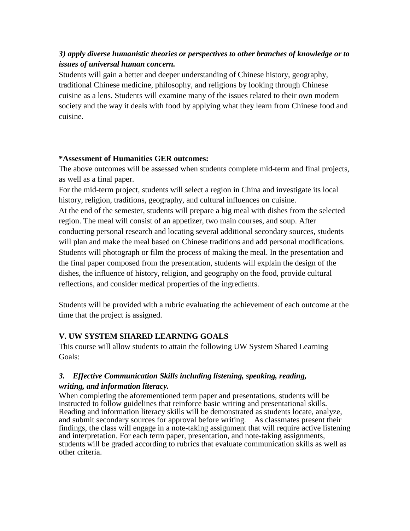# *3) apply diverse humanistic theories or perspectives to other branches of knowledge or to issues of universal human concern.*

Students will gain a better and deeper understanding of Chinese history, geography, traditional Chinese medicine, philosophy, and religions by looking through Chinese cuisine as a lens. Students will examine many of the issues related to their own modern society and the way it deals with food by applying what they learn from Chinese food and cuisine.

#### **\*Assessment of Humanities GER outcomes:**

The above outcomes will be assessed when students complete mid-term and final projects, as well as a final paper.

For the mid-term project, students will select a region in China and investigate its local history, religion, traditions, geography, and cultural influences on cuisine.

At the end of the semester, students will prepare a big meal with dishes from the selected region. The meal will consist of an appetizer, two main courses, and soup. After conducting personal research and locating several additional secondary sources, students will plan and make the meal based on Chinese traditions and add personal modifications. Students will photograph or film the process of making the meal. In the presentation and the final paper composed from the presentation, students will explain the design of the dishes, the influence of history, religion, and geography on the food, provide cultural reflections, and consider medical properties of the ingredients.

Students will be provided with a rubric evaluating the achievement of each outcome at the time that the project is assigned.

# **V. UW SYSTEM SHARED LEARNING GOALS**

This course will allow students to attain the following UW System Shared Learning Goals:

### *3. Effective Communication Skills including listening, speaking, reading, writing, and information literacy.*

When completing the aforementioned term paper and presentations, students will be instructed to follow guidelines that reinforce basic writing and presentational skills. Reading and information literacy skills will be demonstrated as students locate, analyze, and submit secondary sources for approval before writing. As classmates present their findings, the class will engage in a note-taking assignment that will require active listening and interpretation. For each term paper, presentation, and note-taking assignments, students will be graded according to rubrics that evaluate communication skills as well as other criteria.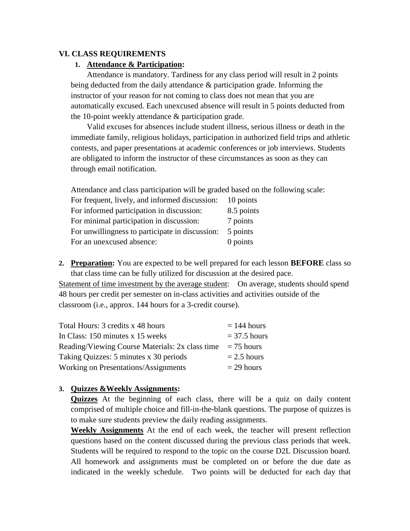#### **VI. CLASS REQUIREMENTS**

#### **1. Attendance & Participation:**

Attendance is mandatory. Tardiness for any class period will result in 2 points being deducted from the daily attendance & participation grade. Informing the instructor of your reason for not coming to class does not mean that you are automatically excused. Each unexcused absence will result in 5 points deducted from the 10-point weekly attendance & participation grade.

Valid excuses for absences include student illness, serious illness or death in the immediate family, religious holidays, participation in authorized field trips and athletic contests, and paper presentations at academic conferences or job interviews. Students are obligated to inform the instructor of these circumstances as soon as they can through email notification.

Attendance and class participation will be graded based on the following scale:

| For frequent, lively, and informed discussion:  | 10 points  |
|-------------------------------------------------|------------|
| For informed participation in discussion:       | 8.5 points |
| For minimal participation in discussion:        | 7 points   |
| For unwillingness to participate in discussion: | 5 points   |
| For an unexcused absence:                       | 0 points   |

**2. Preparation:** You are expected to be well prepared for each lesson **BEFORE** class so that class time can be fully utilized for discussion at the desired pace.

Statement of time investment by the average student: On average, students should spend 48 hours per credit per semester on in-class activities and activities outside of the classroom (i.e., approx. 144 hours for a 3-credit course).

| Total Hours: 3 credits x 48 hours               | $= 144$ hours  |
|-------------------------------------------------|----------------|
| In Class: 150 minutes x 15 weeks                | $=$ 37.5 hours |
| Reading/Viewing Course Materials: 2x class time | $= 75$ hours   |
| Taking Quizzes: 5 minutes x 30 periods          | $= 2.5$ hours  |
| Working on Presentations/Assignments            | $= 29$ hours   |

### **3. Quizzes &Weekly Assignments:**

**Quizzes** At the beginning of each class, there will be a quiz on daily content comprised of multiple choice and fill-in-the-blank questions. The purpose of quizzes is to make sure students preview the daily reading assignments.

**Weekly Assignments** At the end of each week, the teacher will present reflection questions based on the content discussed during the previous class periods that week. Students will be required to respond to the topic on the course D2L Discussion board. All homework and assignments must be completed on or before the due date as indicated in the weekly schedule. Two points will be deducted for each day that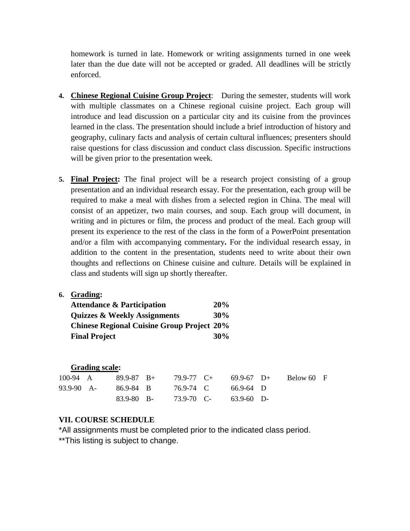homework is turned in late. Homework or writing assignments turned in one week later than the due date will not be accepted or graded. All deadlines will be strictly enforced.

- **4. Chinese Regional Cuisine Group Project**: During the semester, students will work with multiple classmates on a Chinese regional cuisine project. Each group will introduce and lead discussion on a particular city and its cuisine from the provinces learned in the class. The presentation should include a brief introduction of history and geography, culinary facts and analysis of certain cultural influences; presenters should raise questions for class discussion and conduct class discussion. Specific instructions will be given prior to the presentation week.
- **5. Final Project:** The final project will be a research project consisting of a group presentation and an individual research essay. For the presentation, each group will be required to make a meal with dishes from a selected region in China. The meal will consist of an appetizer, two main courses, and soup. Each group will document, in writing and in pictures or film, the process and product of the meal. Each group will present its experience to the rest of the class in the form of a PowerPoint presentation and/or a film with accompanying commentary**.** For the individual research essay, in addition to the content in the presentation, students need to write about their own thoughts and reflections on Chinese cuisine and culture. Details will be explained in class and students will sign up shortly thereafter.
- **6. Grading:**

| <b>Attendance &amp; Participation</b>             | 20% |
|---------------------------------------------------|-----|
| <b>Ouizzes &amp; Weekly Assignments</b>           | 30% |
| <b>Chinese Regional Cuisine Group Project 20%</b> |     |
| <b>Final Project</b>                              | 30% |

|              | <b>Grading scale:</b> |                |                |                |            |  |
|--------------|-----------------------|----------------|----------------|----------------|------------|--|
| 100-94 $\AA$ |                       | $89.9 - 87$ B+ | $79.9 - 77$ C+ | $69.9-67$ D+   | Below 60 F |  |
| 93.9-90 A-   |                       | 86.9-84 B      | 76.9-74 C      | $66.9 - 64$ D  |            |  |
|              |                       | 83.9-80 B-     | 73.9-70 C-     | $63.9 - 60$ D- |            |  |

#### **VII. COURSE SCHEDULE**

\*All assignments must be completed prior to the indicated class period.

\*\*This listing is subject to change.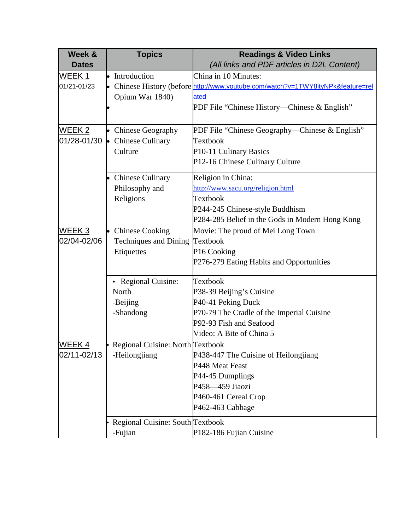| Week &        | <b>Topics</b>                      | <b>Readings &amp; Video Links</b>                                                |
|---------------|------------------------------------|----------------------------------------------------------------------------------|
| <b>Dates</b>  |                                    | (All links and PDF articles in D2L Content)                                      |
| WEEK 1        | • Introduction                     | China in 10 Minutes:                                                             |
| 01/21-01/23   |                                    | • Chinese History (before http://www.youtube.com/watch?v=1TWY8ityNPk&feature=rel |
|               | Opium War 1840)                    | ated                                                                             |
|               |                                    | PDF File "Chinese History—Chinese & English"                                     |
|               |                                    |                                                                                  |
| <u>WEEK 2</u> | • Chinese Geography                | PDF File "Chinese Geography—Chinese & English"                                   |
| 01/28-01/30   | • Chinese Culinary                 | Textbook                                                                         |
|               | Culture                            | P10-11 Culinary Basics                                                           |
|               |                                    | P12-16 Chinese Culinary Culture                                                  |
|               | • Chinese Culinary                 | Religion in China:                                                               |
|               | Philosophy and                     | http://www.sacu.org/religion.html                                                |
|               | Religions                          | Textbook                                                                         |
|               |                                    | P244-245 Chinese-style Buddhism                                                  |
|               |                                    | P284-285 Belief in the Gods in Modern Hong Kong                                  |
| WEEK 3        | • Chinese Cooking                  | Movie: The proud of Mei Long Town                                                |
| 02/04-02/06   | <b>Techniques and Dining</b>       | Textbook                                                                         |
|               | Etiquettes                         | P16 Cooking                                                                      |
|               |                                    | P276-279 Eating Habits and Opportunities                                         |
|               | • Regional Cuisine:                | Textbook                                                                         |
|               | North                              | P38-39 Beijing's Cuisine                                                         |
|               | -Beijing                           | P40-41 Peking Duck                                                               |
|               | -Shandong                          | P70-79 The Cradle of the Imperial Cuisine                                        |
|               |                                    | P92-93 Fish and Seafood                                                          |
|               |                                    | Video: A Bite of China 5                                                         |
| <b>WEEK4</b>  | • Regional Cuisine: North Textbook |                                                                                  |
| 02/11-02/13   | -Heilongjiang                      | P438-447 The Cuisine of Heilongjiang                                             |
|               |                                    | P448 Meat Feast                                                                  |
|               |                                    | P44-45 Dumplings                                                                 |
|               |                                    | P458-459 Jiaozi                                                                  |
|               |                                    | P460-461 Cereal Crop                                                             |
|               |                                    | P462-463 Cabbage                                                                 |
|               | Regional Cuisine: South Textbook   |                                                                                  |
|               | -Fujian                            | P182-186 Fujian Cuisine                                                          |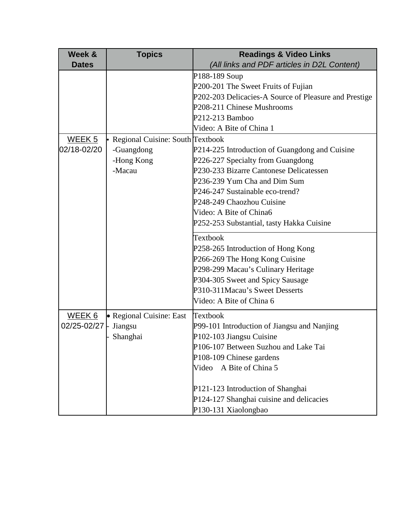| Week &            | <b>Topics</b>                    | <b>Readings &amp; Video Links</b>                     |
|-------------------|----------------------------------|-------------------------------------------------------|
| <b>Dates</b>      |                                  | (All links and PDF articles in D2L Content)           |
|                   |                                  | P188-189 Soup                                         |
|                   |                                  | P200-201 The Sweet Fruits of Fujian                   |
|                   |                                  | P202-203 Delicacies-A Source of Pleasure and Prestige |
|                   |                                  | P208-211 Chinese Mushrooms                            |
|                   |                                  | P212-213 Bamboo                                       |
|                   |                                  | Video: A Bite of China 1                              |
| <u>WEEK 5</u>     | Regional Cuisine: South Textbook |                                                       |
| 02/18-02/20       | -Guangdong                       | P214-225 Introduction of Guangdong and Cuisine        |
|                   | -Hong Kong                       | P226-227 Specialty from Guangdong                     |
|                   | -Macau                           | P230-233 Bizarre Cantonese Delicatessen               |
|                   |                                  | P236-239 Yum Cha and Dim Sum                          |
|                   |                                  | P246-247 Sustainable eco-trend?                       |
|                   |                                  | P248-249 Chaozhou Cuisine                             |
|                   |                                  | Video: A Bite of China6                               |
|                   |                                  | P252-253 Substantial, tasty Hakka Cuisine             |
|                   |                                  | Textbook                                              |
|                   |                                  | P258-265 Introduction of Hong Kong                    |
|                   |                                  | P266-269 The Hong Kong Cuisine                        |
|                   |                                  | P298-299 Macau's Culinary Heritage                    |
|                   |                                  | P304-305 Sweet and Spicy Sausage                      |
|                   |                                  | P310-311Macau's Sweet Desserts                        |
|                   |                                  | Video: A Bite of China 6                              |
| WEEK <sub>6</sub> | • Regional Cuisine: East         | <b>Textbook</b>                                       |
| 02/25-02/27 -     | Jiangsu                          | P99-101 Introduction of Jiangsu and Nanjing           |
|                   | Shanghai                         | P102-103 Jiangsu Cuisine                              |
|                   |                                  | P106-107 Between Suzhou and Lake Tai                  |
|                   |                                  | P108-109 Chinese gardens                              |
|                   |                                  | A Bite of China 5<br>Video                            |
|                   |                                  | P121-123 Introduction of Shanghai                     |
|                   |                                  | P124-127 Shanghai cuisine and delicacies              |
|                   |                                  | P130-131 Xiaolongbao                                  |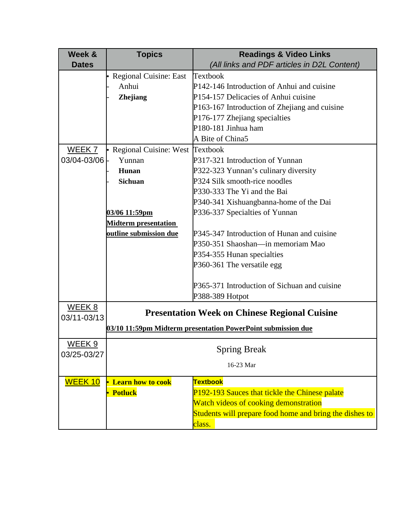| Week &            | <b>Topics</b>                     | <b>Readings &amp; Video Links</b>                            |  |  |
|-------------------|-----------------------------------|--------------------------------------------------------------|--|--|
| <b>Dates</b>      |                                   | (All links and PDF articles in D2L Content)                  |  |  |
|                   | • Regional Cuisine: East          | Textbook                                                     |  |  |
|                   | Anhui                             | P142-146 Introduction of Anhui and cuisine                   |  |  |
|                   | Zhejiang                          | P154-157 Delicacies of Anhui cuisine                         |  |  |
|                   |                                   | P163-167 Introduction of Zhejiang and cuisine                |  |  |
|                   |                                   | P176-177 Zhejiang specialties                                |  |  |
|                   |                                   | P180-181 Jinhua ham                                          |  |  |
|                   |                                   | A Bite of China5                                             |  |  |
| WEEK <sub>7</sub> | • Regional Cuisine: West Textbook |                                                              |  |  |
| 03/04-03/06 -     | Yunnan                            | P317-321 Introduction of Yunnan                              |  |  |
|                   | Hunan                             | P322-323 Yunnan's culinary diversity                         |  |  |
|                   | <b>Sichuan</b>                    | P324 Silk smooth-rice noodles                                |  |  |
|                   |                                   | P330-333 The Yi and the Bai                                  |  |  |
|                   |                                   | P340-341 Xishuangbanna-home of the Dai                       |  |  |
|                   | 03/06 11:59pm                     | P336-337 Specialties of Yunnan                               |  |  |
|                   | <b>Midterm presentation</b>       |                                                              |  |  |
|                   | outline submission due            | P345-347 Introduction of Hunan and cuisine                   |  |  |
|                   |                                   | P350-351 Shaoshan—in memoriam Mao                            |  |  |
|                   |                                   | P354-355 Hunan specialties                                   |  |  |
|                   |                                   | P360-361 The versatile egg                                   |  |  |
|                   |                                   |                                                              |  |  |
|                   |                                   | P365-371 Introduction of Sichuan and cuisine                 |  |  |
|                   |                                   | P388-389 Hotpot                                              |  |  |
| WEEK 8            |                                   | <b>Presentation Week on Chinese Regional Cuisine</b>         |  |  |
| 03/11-03/13       |                                   |                                                              |  |  |
|                   |                                   | 03/10 11:59pm Midterm presentation PowerPoint submission due |  |  |
| WEEK <sub>9</sub> |                                   |                                                              |  |  |
| 03/25-03/27       |                                   | <b>Spring Break</b>                                          |  |  |
|                   |                                   | 16-23 Mar                                                    |  |  |
| <b>WEEK 10</b>    | • Learn how to cook               | <b>Textbook</b>                                              |  |  |
|                   | • Potluck                         | P192-193 Sauces that tickle the Chinese palate               |  |  |
|                   |                                   | Watch videos of cooking demonstration                        |  |  |
|                   |                                   | Students will prepare food home and bring the dishes to      |  |  |
|                   |                                   | class.                                                       |  |  |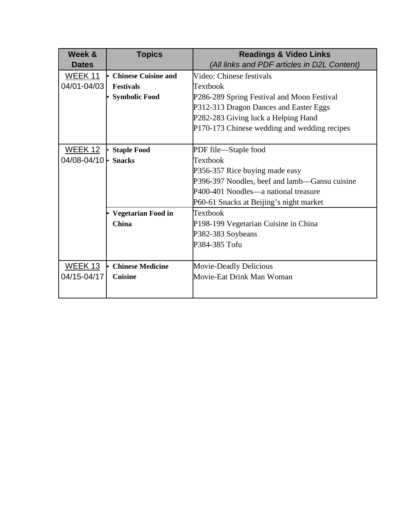| Week &                     | <b>Topics</b>              | <b>Readings &amp; Video Links</b>             |
|----------------------------|----------------------------|-----------------------------------------------|
| <b>Dates</b>               |                            | (All links and PDF articles in D2L Content)   |
| <b>WEEK 11</b>             | <b>Chinese Cuisine and</b> | Video: Chinese festivals                      |
| 04/01-04/03                | <b>Festivals</b>           | Textbook                                      |
|                            | <b>Symbolic Food</b>       | P286-289 Spring Festival and Moon Festival    |
|                            |                            | P312-313 Dragon Dances and Easter Eggs        |
|                            |                            | P282-283 Giving luck a Helping Hand           |
|                            |                            | P170-173 Chinese wedding and wedding recipes  |
|                            |                            |                                               |
| <b>WEEK 12</b>             | <b>Staple Food</b>         | PDF file-Staple food                          |
| 04/08-04/10 $\cdot$ Snacks |                            | Textbook                                      |
|                            |                            | P356-357 Rice buying made easy                |
|                            |                            | P396-397 Noodles, beef and lamb—Gansu cuisine |
|                            |                            | P400-401 Noodles—a national treasure          |
|                            |                            | P60-61 Snacks at Beijing's night market       |
|                            | <b>Vegetarian Food in</b>  | Textbook                                      |
|                            | <b>China</b>               | P198-199 Vegetarian Cuisine in China          |
|                            |                            | P382-383 Soybeans                             |
|                            |                            | P384-385 Tofu                                 |
|                            |                            |                                               |
| <u>WEEK 13</u>             | <b>Chinese Medicine</b>    | <b>Movie-Deadly Delicious</b>                 |
| 04/15-04/17                | <b>Cuisine</b>             | Movie-Eat Drink Man Woman                     |
|                            |                            |                                               |
|                            |                            |                                               |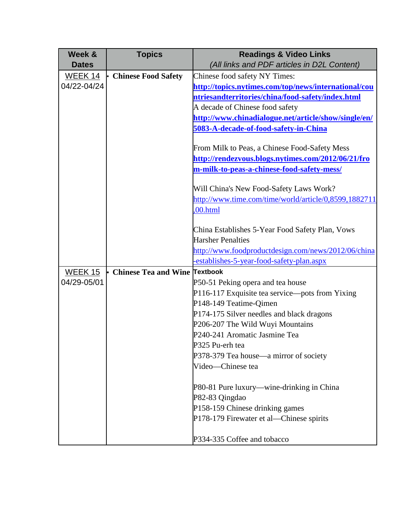| Week &         | <b>Topics</b>                 | <b>Readings &amp; Video Links</b>                     |
|----------------|-------------------------------|-------------------------------------------------------|
| <b>Dates</b>   |                               | (All links and PDF articles in D2L Content)           |
| <b>WEEK 14</b> | <b>Chinese Food Safety</b>    | Chinese food safety NY Times:                         |
| 04/22-04/24    |                               | http://topics.nytimes.com/top/news/international/cou  |
|                |                               | ntriesandterritories/china/food-safety/index.html     |
|                |                               | A decade of Chinese food safety                       |
|                |                               | http://www.chinadialogue.net/article/show/single/en/  |
|                |                               | 5083-A-decade-of-food-safety-in-China                 |
|                |                               | From Milk to Peas, a Chinese Food-Safety Mess         |
|                |                               | http://rendezvous.blogs.nytimes.com/2012/06/21/fro    |
|                |                               | m-milk-to-peas-a-chinese-food-safety-mess/            |
|                |                               | Will China's New Food-Safety Laws Work?               |
|                |                               | http://www.time.com/time/world/article/0,8599,1882711 |
|                |                               | ,00.html                                              |
|                |                               | China Establishes 5-Year Food Safety Plan, Vows       |
|                |                               | <b>Harsher Penalties</b>                              |
|                |                               | http://www.foodproductdesign.com/news/2012/06/china   |
|                |                               | establishes-5-year-food-safety-plan.aspx              |
| <b>WEEK 15</b> | Chinese Tea and Wine Textbook |                                                       |
| 04/29-05/01    |                               | P50-51 Peking opera and tea house                     |
|                |                               | P116-117 Exquisite tea service—pots from Yixing       |
|                |                               | P148-149 Teatime-Qimen                                |
|                |                               | P174-175 Silver needles and black dragons             |
|                |                               | P206-207 The Wild Wuyi Mountains                      |
|                |                               | P240-241 Aromatic Jasmine Tea                         |
|                |                               | P325 Pu-erh tea                                       |
|                |                               | P378-379 Tea house—a mirror of society                |
|                |                               | Video-Chinese tea                                     |
|                |                               | P80-81 Pure luxury—wine-drinking in China             |
|                |                               | P82-83 Qingdao                                        |
|                |                               | P158-159 Chinese drinking games                       |
|                |                               | P178-179 Firewater et al—Chinese spirits              |
|                |                               | P334-335 Coffee and tobacco                           |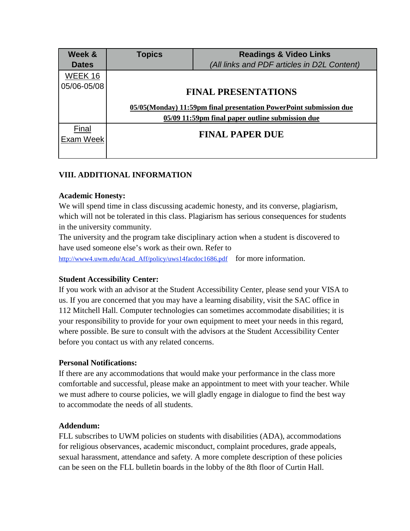| <b>Readings &amp; Video Links</b>                                  |
|--------------------------------------------------------------------|
| (All links and PDF articles in D2L Content)                        |
|                                                                    |
|                                                                    |
| <b>FINAL PRESENTATIONS</b>                                         |
| 05/05(Monday) 11:59pm final presentation PowerPoint submission due |
| 05/09 11:59pm final paper outline submission due                   |
|                                                                    |
| <b>FINAL PAPER DUE</b>                                             |
|                                                                    |
|                                                                    |

# **VIII. ADDITIONAL INFORMATION**

#### **Academic Honesty:**

We will spend time in class discussing academic honesty, and its converse, plagiarism, which will not be tolerated in this class. Plagiarism has serious consequences for students in the university community.

The university and the program take disciplinary action when a student is discovered to have used someone else's work as their own. Refer to

[http://www4.uwm.edu/Acad\\_Aff/policy/uws14facdoc1686.pdf](http://www4.uwm.edu/Acad_Aff/policy/uws14facdoc1686.pdf) for more information.

### **Student Accessibility Center:**

If you work with an advisor at the Student Accessibility Center, please send your VISA to us. If you are concerned that you may have a learning disability, visit the SAC office in 112 Mitchell Hall. Computer technologies can sometimes accommodate disabilities; it is your responsibility to provide for your own equipment to meet your needs in this regard, where possible. Be sure to consult with the advisors at the Student Accessibility Center before you contact us with any related concerns.

#### **Personal Notifications:**

If there are any accommodations that would make your performance in the class more comfortable and successful, please make an appointment to meet with your teacher. While we must adhere to course policies, we will gladly engage in dialogue to find the best way to accommodate the needs of all students.

#### **Addendum:**

FLL subscribes to UWM policies on students with disabilities (ADA), accommodations for religious observances, academic misconduct, complaint procedures, grade appeals, sexual harassment, attendance and safety. A more complete description of these policies can be seen on the FLL bulletin boards in the lobby of the 8th floor of Curtin Hall.